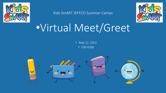

Kids SmART JEFFCO Summer Camps



# •Virtual Meet/Greet

• May 12, 2022

• 530-630p

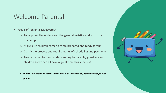### Welcome Parents!

- Goals of tonight's Meet/Greet
	- o To help families understand the general logistics and structure of our camp
	- o Make sure children come to camp prepared and ready for fun
	- o Clarify the process and requirements of scheduling and payments
	- o To ensure comfort and understanding by parents/guardians and children so we can all have a great time this summer!
	- **\*Virtual introduction of staff will occur after initial presentation, before question/answer portion.**

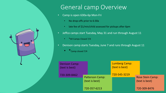

## General camp Overview

- Camp is open 630a-6p Mon-Fri
	- No drop-offs prior to 6:30a
	- late fee of \$1/min/child assessed for pickups after 6pm
- Jeffco camps start Tuesday, May 31 and run through August 11
	- \*All Camps Closed 7/4
- Denison camp starts Tuesday, June 7 and runs through August 11
	- $*$  Camp closed 7/4

| <b>Denison Camp:</b><br>(text is best) |                                          | <b>Lumberg Camp:</b><br>(text is best) |                                           |  |
|----------------------------------------|------------------------------------------|----------------------------------------|-------------------------------------------|--|
| 720-309-8462                           | <b>Patterson Camp:</b><br>(text is best) | 720-545-3219                           | <b>Rose Stein Camp:</b><br>(text is best) |  |
|                                        | 720-357-6213                             |                                        | 720-309-8476                              |  |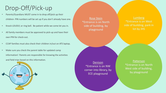## Drop-Off/Pick-up

- Parents/Guardians MUST come in to drop off/pick up their children- PIN numbers will be set up if you don't already have one.
- Knock LOUDLY, or ring bell. Be patient while we come let you in.
- All family members must be approved to pick-up and have their own PIN for check-out.
- CCAP families must also check their children in/out on ATS laptop.
- Make sure you check the parent table for updated camp information! Parents are responsible for knowing the activities and field trips based on this information.



Rose Stein \*Entrance is on North side of building, by playground

#### Lumberg \*Entrance is on West side of building, park in lot by JHS

Denison \*Entrance is on NW corner into library, by ECE playground

Patterson \*Entrance is on North West side of building, by playground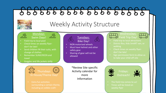# 666666666666666666



# Weekly Activity Structure



#### Mondays: Swim Days!

 $\widetilde{\heartsuit}$ 

- Field trip to local pool
- Check times on weekly flyerdon't be late!
- Send children IN their suits, with change of clothes
- Remember SUNSCREEN and towel
- Goggles and life jackets only

 $(\begin{pmatrix} 0 & 0 \\ 0 & 0 \end{pmatrix})$ Thursdays: In House/Theme Day!

• Extra fun activities including an edible craft! Tuesdays: Bike Day!

 $\mathcal{S}_{\text{O}}^{\text{c}}$ 

- NON motorized wheels
- Must have helmet and other safety gear
- Sharing of gear will not be allowed

\*Review Site specific Activity calendar for more Information





- 
- District Bus, Kids SmART van, or walking
- don't be late!
- Sign permission form to allow us



- The field trip comes to us!
- Times will be listed on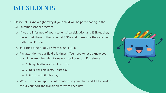## JSEL STUDENTS

- Please let us know right away if your child will be participating in the JSEL summer school program
	- $\circ$  If we are informed of your students' participation and JSEL teacher, we will get them to their class at 8:30a and make sure they are back with us at 11:30a
	- o JSEL runs June 6- July 17 from 830a-1130a
	- o Pay attention to our field trip times! You need to let us know your plan if we are scheduled to leave school prior to JSEL release
		- $\circ$  1) Bring child to meet us at field trip
		- o 2) Not attend Kids SmART that day
		- o 3) Not attend JSEL that day
	- o We must receive specific information on your child and JSEL in order to fully support the transition to/from each day

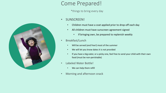### Come Prepared!

\*things to bring every day

#### • SUNSCREEN!

- Children must have a coat applied prior to drop-off each day
- All children must have sunscreen agreement signed
	- If bringing own, be prepared to replenish weekly
- Breakfast/Lunch
	- Will be served (and free!) most of the summer
	- We will let you know dates it is not provided
	- If you have a big eater, or a picky one, feel free to send your child with their own food (must be non-perishable)
- Labeled Water Bottle!
	- We can help them refill
- Morning and afternoon snack

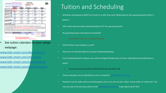|                                             |                                            |                                                                                                  | <b>JUNE 2022</b><br><b>SUMMER CAMP</b><br>(JEFFCO)                                                                                                                                                                                               |                                                                                                                            |                                   |  |
|---------------------------------------------|--------------------------------------------|--------------------------------------------------------------------------------------------------|--------------------------------------------------------------------------------------------------------------------------------------------------------------------------------------------------------------------------------------------------|----------------------------------------------------------------------------------------------------------------------------|-----------------------------------|--|
| <b>ATTENDING CAMP:</b>                      | <b>CHOOSE ONE</b><br><b>MONDAY</b>         | <b>TUESDAY</b>                                                                                   | <b>WEDNESDAY</b>                                                                                                                                                                                                                                 | <b>THURSDAY</b>                                                                                                            | <b>FRIDAY</b>                     |  |
| <b>WEEK OF: 5/30</b><br><b>CARE NEEDED:</b> | <b>MEMORIAL DAY</b><br><b>ALL PROGRAMS</b> | May 31<br>FULL: 0 -                                                                              | <b>JUNE 1</b><br>FULL: 0.4                                                                                                                                                                                                                       | <b>JUNE 2</b><br>$FULL: 0 -$                                                                                               | <b>JUNE 3</b><br>FULL: $0$ .      |  |
| WEEK OF: 6/6<br><b>CARE NEEDED:</b>         | <b>JUNE 6</b><br>FULL: $0 -$               | <b>JUNE7</b><br>FULL: $0 -$                                                                      | JUNE 8<br>FULL: $0$ $\cdot$                                                                                                                                                                                                                      | JUNE 9<br>FULL: $0.4$                                                                                                      | <b>JUNE 10</b><br>FULL: $0 \cdot$ |  |
| <b>WEEK OF: 6/13</b><br><b>CARE NEEDED:</b> | <b>JUNE 13</b><br>FULL: $0 -$              | <b>JUNE 14</b><br>FULL: 0                                                                        | <b>JUNE 15</b><br>FULL: 0.                                                                                                                                                                                                                       | <b>JUNE 16</b><br>FULL: $0 -$                                                                                              | <b>JUNE 17</b><br>FULL: 0.4       |  |
| <b>WEEK OF: 6/20</b>                        | <b>JUNE 20</b><br>$FULL: 0$ -              | <b>JUNE 21</b><br>$FULL: 0$ $\cdot$                                                              | JUNE 22<br>FULL: $0 - 1$                                                                                                                                                                                                                         | <b>JUNE 23</b><br>FULL: 0                                                                                                  | <b>June 24</b><br>$FULL: 0$ -     |  |
| <b>CARE NEEDED</b><br>WEEK OF: 6/27         | <b>JUNE 27</b>                             | <b>JUNE 28</b>                                                                                   | <b>JUNE 29</b>                                                                                                                                                                                                                                   | <b>JUNE 30</b>                                                                                                             | <b>JULY 1</b>                     |  |
| <b>CARE NEEDED:</b>                         | FULL: $0 -$                                | $FULL: 0$ $\cdot$                                                                                | FULL: 0                                                                                                                                                                                                                                          | FULL: 0.7                                                                                                                  | $0 -$<br><b>FULL:</b>             |  |
|                                             |                                            |                                                                                                  | 3. Limited space available. Payment is due AT LEAST by the Wednesday prior to the upcoming week, but it is encouraged earlier in<br>order to increase possibility of spot. Calendars are also required for CCAP families to reserve their space. | 2. Total the Number of Days signing up for, MINIMUM OF 2 days/Wk REQUIRED Payment must accompany calendar to reserve spot. |                                   |  |
| <b>DUES CALCULATION:</b>                    | Number of IN HOUSE days: 0                 |                                                                                                  | 4. For Safety and tracking purposes, please let Director know if care needs change after calendar submittal.<br>x \$42.00 / day=                                                                                                                 | \$0.00                                                                                                                     | SUBTOTAL: \$0.00                  |  |
|                                             | Number of FT days: 0                       |                                                                                                  | \$52.00                                                                                                                                                                                                                                          | \$0.00                                                                                                                     | X Number of Children=             |  |
|                                             |                                            |                                                                                                  |                                                                                                                                                                                                                                                  |                                                                                                                            | TOTAL DUE: \$ 0.00                |  |
|                                             |                                            | "Spots reserved on first paid/scheduled basis.<br>"" No spot is guaranteed until paid/confirmed. | "\$10/day/child DROP-IN fee charged if not scheduled/paid in advance"                                                                                                                                                                            |                                                                                                                            |                                   |  |
|                                             |                                            |                                                                                                  | See tuition calendars on your camps                                                                                                                                                                                                              |                                                                                                                            |                                   |  |
| webpage:                                    |                                            |                                                                                                  |                                                                                                                                                                                                                                                  |                                                                                                                            |                                   |  |

www.kids-smart.com/ste

www.kids-smart.com/lu

[www.kids-smart.com/pattersoncamp](http://www.kids-smart.com/pattersoncamp)

### Tuition and Scheduling

- Schedules and payments MUST be turned in no later than each Wednesday for the upcoming week (earlier is better!)
- 10% tuition discount when paid/scheduled by  $25<sup>th</sup>$  for upcoming month
- No guaranteed spot until paid and scheduled!
	- 2 day/week minimum on weeks scheduled
- CCAP families must schedule as well!!
- There are no refunds/credits for unused scheduled/paid days
- If not scheduled/paid in advance, you will be charged \$10/day drop-in if your child attends (provided there is space)
	- Any account carrying a balance will be denied care until paid in full
- Tuition calendars can be submitted on-site or emailed to [admin@kids-smart.com](mailto:admin@kids-smart.com)
- Payments can be made online via tuitionexpress.com or on-site via cash, check, money order, or credit card. You

may also opt to do auto-pay- please email **admin@kids-smart.com** to get signed up for that.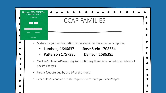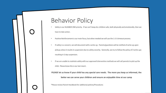### Behavior Policy

- Safety is our NUMBER ONE priority. If we can't keep ALL children safe, both physically and emotionally, then we have to take action.
- Positive Reinforcement is our main focus, but when needed we will use the 1-2-3 timeout process.
- If safety is a concern, we will document with a write-up. Parents/guardians will be notified of write-up upon pickup unless it results in suspension due to safety severity. Generally, we try to follow the policy of 3 write-ups resulting in 2 day suspension.
- If we are unable to maintain safety with our approved intervention methods we will call parents to pick up the child. Please know this is our last resort.

**PLEASE let us know if your child has any special care needs. The more you keep us informed, the better we can serve your children and ensure an enjoyable time at our camp**

\*Please review Parent Handbook for additional policies/Procedures